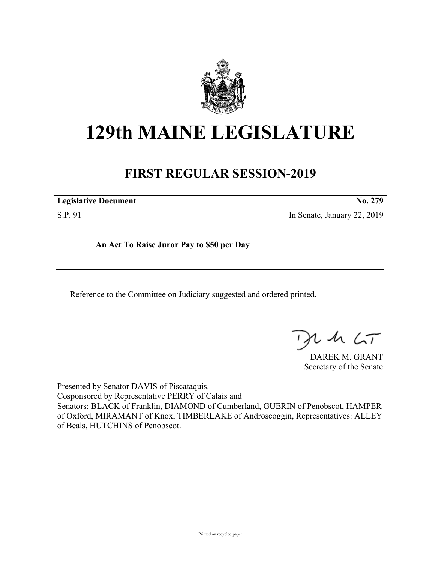

# **129th MAINE LEGISLATURE**

## **FIRST REGULAR SESSION-2019**

**Legislative Document No. 279**

S.P. 91 In Senate, January 22, 2019

**An Act To Raise Juror Pay to \$50 per Day**

Reference to the Committee on Judiciary suggested and ordered printed.

, in  $\zeta$ T

DAREK M. GRANT Secretary of the Senate

Presented by Senator DAVIS of Piscataquis. Cosponsored by Representative PERRY of Calais and Senators: BLACK of Franklin, DIAMOND of Cumberland, GUERIN of Penobscot, HAMPER of Oxford, MIRAMANT of Knox, TIMBERLAKE of Androscoggin, Representatives: ALLEY of Beals, HUTCHINS of Penobscot.